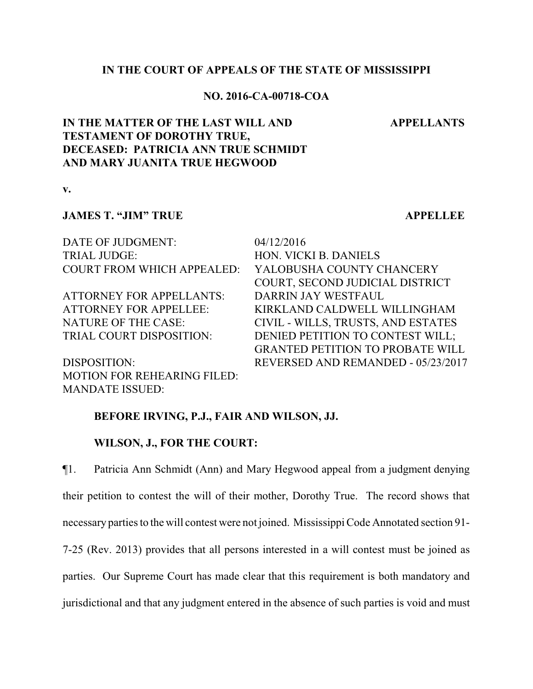## **IN THE COURT OF APPEALS OF THE STATE OF MISSISSIPPI**

## **NO. 2016-CA-00718-COA**

#### **APPELLANTS**

# **IN THE MATTER OF THE LAST WILL AND TESTAMENT OF DOROTHY TRUE, DECEASED: PATRICIA ANN TRUE SCHMIDT AND MARY JUANITA TRUE HEGWOOD**

**v.**

## **JAMES T. "JIM" TRUE APPELLEE**

DATE OF JUDGMENT: 04/12/2016 TRIAL JUDGE: HON. VICKI B. DANIELS

ATTORNEY FOR APPELLANTS: DARRIN JAY WESTFAUL

MOTION FOR REHEARING FILED: MANDATE ISSUED:

COURT FROM WHICH APPEALED: YALOBUSHA COUNTY CHANCERY COURT, SECOND JUDICIAL DISTRICT ATTORNEY FOR APPELLEE: KIRKLAND CALDWELL WILLINGHAM NATURE OF THE CASE: CIVIL - WILLS, TRUSTS, AND ESTATES TRIAL COURT DISPOSITION: DENIED PETITION TO CONTEST WILL; GRANTED PETITION TO PROBATE WILL DISPOSITION: REVERSED AND REMANDED - 05/23/2017

## **BEFORE IRVING, P.J., FAIR AND WILSON, JJ.**

### **WILSON, J., FOR THE COURT:**

¶1. Patricia Ann Schmidt (Ann) and Mary Hegwood appeal from a judgment denying their petition to contest the will of their mother, Dorothy True. The record shows that necessary parties to the will contest were not joined. Mississippi Code Annotated section 91- 7-25 (Rev. 2013) provides that all persons interested in a will contest must be joined as parties. Our Supreme Court has made clear that this requirement is both mandatory and jurisdictional and that any judgment entered in the absence of such parties is void and must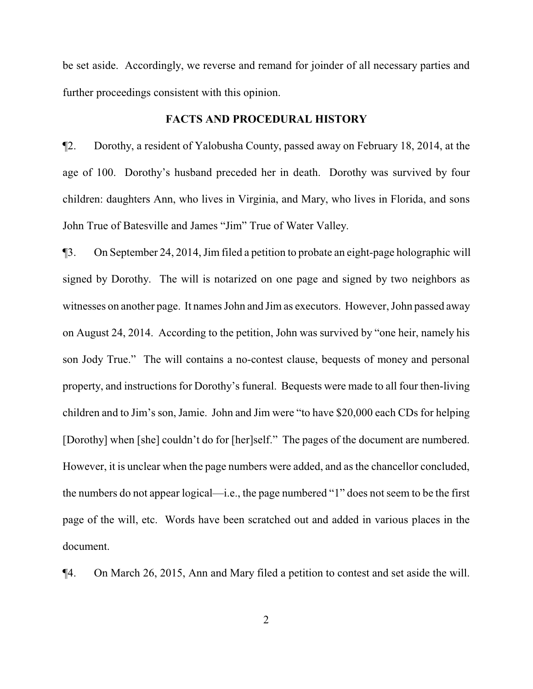be set aside. Accordingly, we reverse and remand for joinder of all necessary parties and further proceedings consistent with this opinion.

## **FACTS AND PROCEDURAL HISTORY**

¶2. Dorothy, a resident of Yalobusha County, passed away on February 18, 2014, at the age of 100. Dorothy's husband preceded her in death. Dorothy was survived by four children: daughters Ann, who lives in Virginia, and Mary, who lives in Florida, and sons John True of Batesville and James "Jim" True of Water Valley.

¶3. On September 24, 2014, Jim filed a petition to probate an eight-page holographic will signed by Dorothy. The will is notarized on one page and signed by two neighbors as witnesses on another page. It names John and Jim as executors. However, John passed away on August 24, 2014. According to the petition, John was survived by "one heir, namely his son Jody True." The will contains a no-contest clause, bequests of money and personal property, and instructions for Dorothy's funeral. Bequests were made to all four then-living children and to Jim's son, Jamie. John and Jim were "to have \$20,000 each CDs for helping [Dorothy] when [she] couldn't do for [her]self." The pages of the document are numbered. However, it is unclear when the page numbers were added, and as the chancellor concluded, the numbers do not appear logical—i.e., the page numbered "1" does not seem to be the first page of the will, etc. Words have been scratched out and added in various places in the document.

¶4. On March 26, 2015, Ann and Mary filed a petition to contest and set aside the will.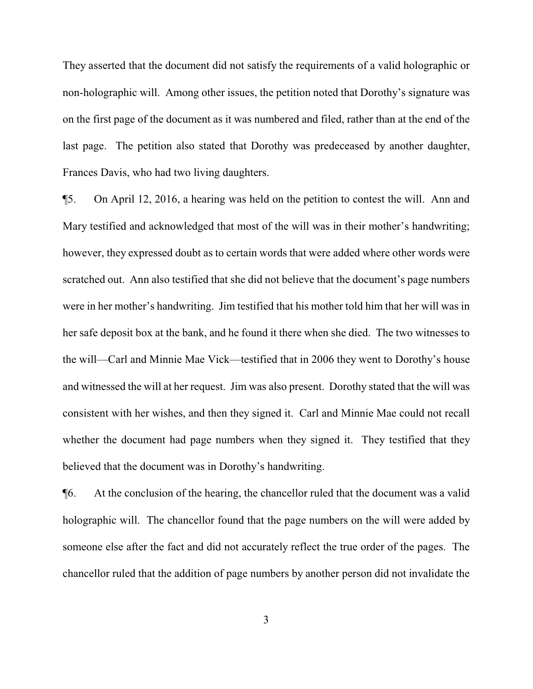They asserted that the document did not satisfy the requirements of a valid holographic or non-holographic will. Among other issues, the petition noted that Dorothy's signature was on the first page of the document as it was numbered and filed, rather than at the end of the last page. The petition also stated that Dorothy was predeceased by another daughter, Frances Davis, who had two living daughters.

¶5. On April 12, 2016, a hearing was held on the petition to contest the will. Ann and Mary testified and acknowledged that most of the will was in their mother's handwriting; however, they expressed doubt as to certain words that were added where other words were scratched out. Ann also testified that she did not believe that the document's page numbers were in her mother's handwriting. Jim testified that his mother told him that her will was in her safe deposit box at the bank, and he found it there when she died. The two witnesses to the will—Carl and Minnie Mae Vick—testified that in 2006 they went to Dorothy's house and witnessed the will at her request. Jim was also present. Dorothy stated that the will was consistent with her wishes, and then they signed it. Carl and Minnie Mae could not recall whether the document had page numbers when they signed it. They testified that they believed that the document was in Dorothy's handwriting.

¶6. At the conclusion of the hearing, the chancellor ruled that the document was a valid holographic will. The chancellor found that the page numbers on the will were added by someone else after the fact and did not accurately reflect the true order of the pages. The chancellor ruled that the addition of page numbers by another person did not invalidate the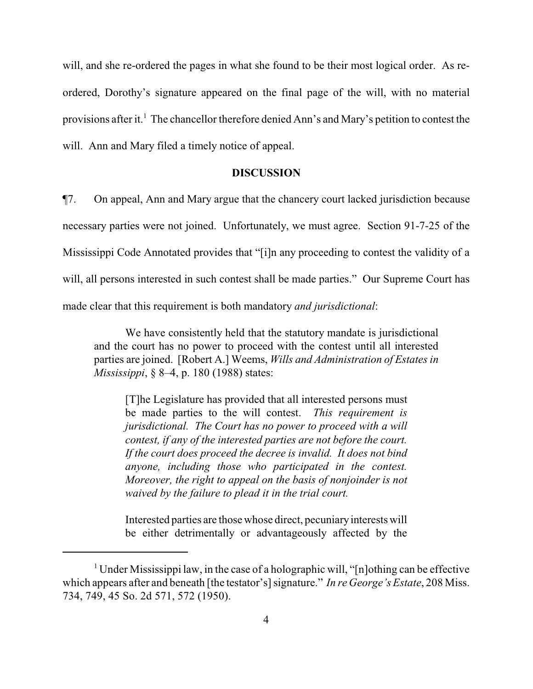will, and she re-ordered the pages in what she found to be their most logical order. As reordered, Dorothy's signature appeared on the final page of the will, with no material provisions after it.<sup>1</sup> The chancellor therefore denied Ann's and Mary's petition to contest the will. Ann and Mary filed a timely notice of appeal.

### **DISCUSSION**

¶7. On appeal, Ann and Mary argue that the chancery court lacked jurisdiction because necessary parties were not joined. Unfortunately, we must agree. Section 91-7-25 of the Mississippi Code Annotated provides that "[i]n any proceeding to contest the validity of a will, all persons interested in such contest shall be made parties." Our Supreme Court has made clear that this requirement is both mandatory *and jurisdictional*:

We have consistently held that the statutory mandate is jurisdictional and the court has no power to proceed with the contest until all interested parties are joined. [Robert A.] Weems, *Wills and Administration of Estates in Mississippi*, § 8–4, p. 180 (1988) states:

[T]he Legislature has provided that all interested persons must be made parties to the will contest. *This requirement is jurisdictional. The Court has no power to proceed with a will contest, if any of the interested parties are not before the court. If the court does proceed the decree is invalid. It does not bind anyone, including those who participated in the contest. Moreover, the right to appeal on the basis of nonjoinder is not waived by the failure to plead it in the trial court.*

Interested parties are those whose direct, pecuniaryinterests will be either detrimentally or advantageously affected by the

<sup>&</sup>lt;sup>1</sup> Under Mississippi law, in the case of a holographic will, "[n]othing can be effective which appears after and beneath [the testator's] signature." *In re George's Estate*, 208 Miss. 734, 749, 45 So. 2d 571, 572 (1950).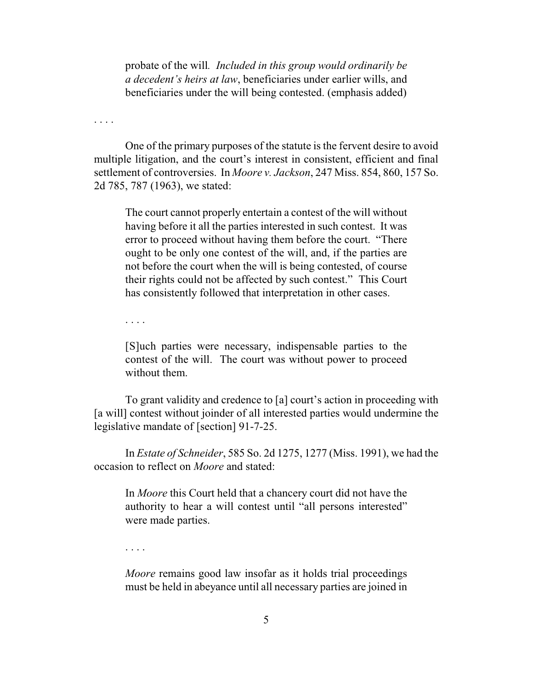probate of the will*. Included in this group would ordinarily be a decedent's heirs at law*, beneficiaries under earlier wills, and beneficiaries under the will being contested. (emphasis added)

. . . .

One of the primary purposes of the statute is the fervent desire to avoid multiple litigation, and the court's interest in consistent, efficient and final settlement of controversies. In *Moore v. Jackson*, 247 Miss. 854, 860, 157 So. 2d 785, 787 (1963), we stated:

The court cannot properly entertain a contest of the will without having before it all the parties interested in such contest. It was error to proceed without having them before the court. "There ought to be only one contest of the will, and, if the parties are not before the court when the will is being contested, of course their rights could not be affected by such contest." This Court has consistently followed that interpretation in other cases.

. . . .

[S]uch parties were necessary, indispensable parties to the contest of the will. The court was without power to proceed without them.

To grant validity and credence to [a] court's action in proceeding with [a will] contest without joinder of all interested parties would undermine the legislative mandate of [section] 91-7-25.

In *Estate of Schneider*, 585 So. 2d 1275, 1277 (Miss. 1991), we had the occasion to reflect on *Moore* and stated:

In *Moore* this Court held that a chancery court did not have the authority to hear a will contest until "all persons interested" were made parties.

. . . .

*Moore* remains good law insofar as it holds trial proceedings must be held in abeyance until all necessary parties are joined in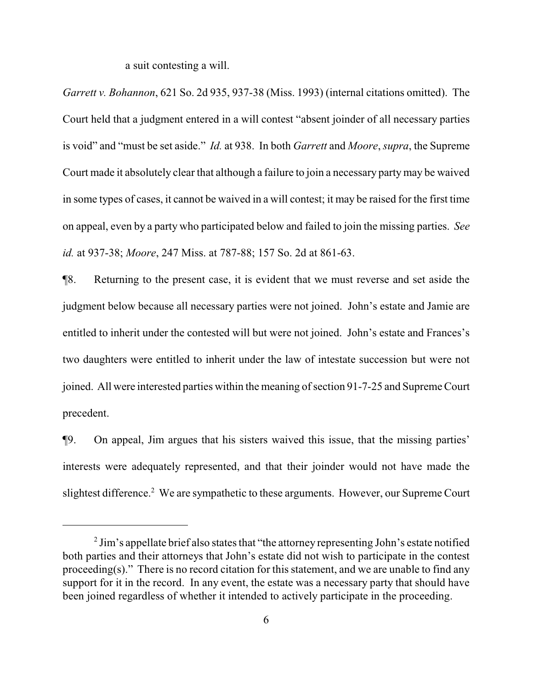a suit contesting a will.

*Garrett v. Bohannon*, 621 So. 2d 935, 937-38 (Miss. 1993) (internal citations omitted). The Court held that a judgment entered in a will contest "absent joinder of all necessary parties is void" and "must be set aside." *Id.* at 938. In both *Garrett* and *Moore*, *supra*, the Supreme Court made it absolutely clear that although a failure to join a necessary party may be waived in some types of cases, it cannot be waived in a will contest; it may be raised for the first time on appeal, even by a party who participated below and failed to join the missing parties. *See id.* at 937-38; *Moore*, 247 Miss. at 787-88; 157 So. 2d at 861-63.

¶8. Returning to the present case, it is evident that we must reverse and set aside the judgment below because all necessary parties were not joined. John's estate and Jamie are entitled to inherit under the contested will but were not joined. John's estate and Frances's two daughters were entitled to inherit under the law of intestate succession but were not joined. All were interested parties within the meaning of section 91-7-25 and Supreme Court precedent.

¶9. On appeal, Jim argues that his sisters waived this issue, that the missing parties' interests were adequately represented, and that their joinder would not have made the slightest difference.<sup>2</sup> We are sympathetic to these arguments. However, our Supreme Court

 $2$  Jim's appellate brief also states that "the attorney representing John's estate notified both parties and their attorneys that John's estate did not wish to participate in the contest proceeding(s)." There is no record citation for this statement, and we are unable to find any support for it in the record. In any event, the estate was a necessary party that should have been joined regardless of whether it intended to actively participate in the proceeding.